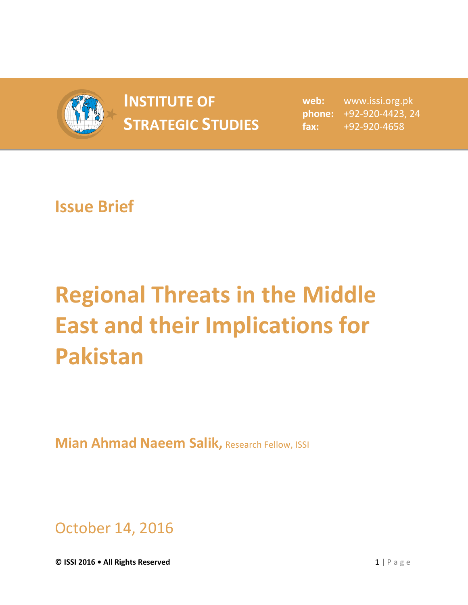

## **INSTITUTE OF INSTITUTE OF** web:<br> **STRATEGIC STUDIES**  $_{\text{fax:}}$

**web:** www.issi.org.pk **phone:** +92-920-4423, 24 **fax:** +92-920-4658

## **Issue Brief**

## **Regional Threats in the Middle East and their Implications for Pakistan**

**Mian Ahmad Naeem Salik, Research Fellow, ISSI** 

October 14, 2016

**© ISSI 2016 • All Rights Reserved** 1 | P a g e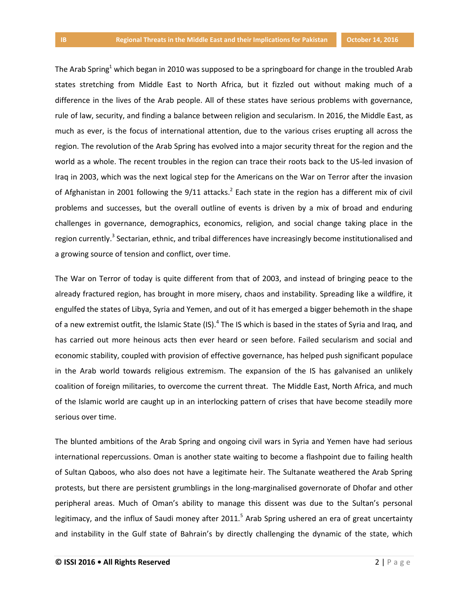The Arab Spring<sup>1</sup> which began in 2010 was supposed to be a springboard for change in the troubled Arab states stretching from Middle East to North Africa, but it fizzled out without making much of a difference in the lives of the Arab people. All of these states have serious problems with governance, rule of law, security, and finding a balance between religion and secularism. In 2016, the Middle East, as much as ever, is the focus of international attention, due to the various crises erupting all across the region. The revolution of the Arab Spring has evolved into a major security threat for the region and the world as a whole. The recent troubles in the region can trace their roots back to the US-led invasion of Iraq in 2003, which was the next logical step for the Americans on the War on Terror after the invasion of Afghanistan in 2001 following the  $9/11$  attacks.<sup>2</sup> Each state in the region has a different mix of civil problems and successes, but the overall outline of events is driven by a mix of broad and enduring challenges in governance, demographics, economics, religion, and social change taking place in the region currently.<sup>3</sup> Sectarian, ethnic, and tribal differences have increasingly become institutionalised and a growing source of tension and conflict, over time.

The War on Terror of today is quite different from that of 2003, and instead of bringing peace to the already fractured region, has brought in more misery, chaos and instability. Spreading like a wildfire, it engulfed the states of Libya, Syria and Yemen, and out of it has emerged a bigger behemoth in the shape of a new extremist outfit, the Islamic State (IS).<sup>4</sup> The IS which is based in the states of Syria and Iraq, and has carried out more heinous acts then ever heard or seen before. Failed secularism and social and economic stability, coupled with provision of effective governance, has helped push significant populace in the Arab world towards religious extremism. The expansion of the IS has galvanised an unlikely coalition of foreign militaries, to overcome the current threat. The Middle East, North Africa, and much of the Islamic world are caught up in an interlocking pattern of crises that have become steadily more serious over time.

The blunted ambitions of the Arab Spring and ongoing civil wars in Syria and Yemen have had serious international repercussions. Oman is another state waiting to become a flashpoint due to failing health of Sultan Qaboos, who also does not have a legitimate heir. The Sultanate weathered the Arab Spring protests, but there are persistent grumblings in the long-marginalised governorate of Dhofar and other peripheral areas. Much of Oman's ability to manage this dissent was due to the Sultan's personal legitimacy, and the influx of Saudi money after 2011.<sup>5</sup> Arab Spring ushered an era of great uncertainty and instability in the Gulf state of Bahrain's by directly challenging the dynamic of the state, which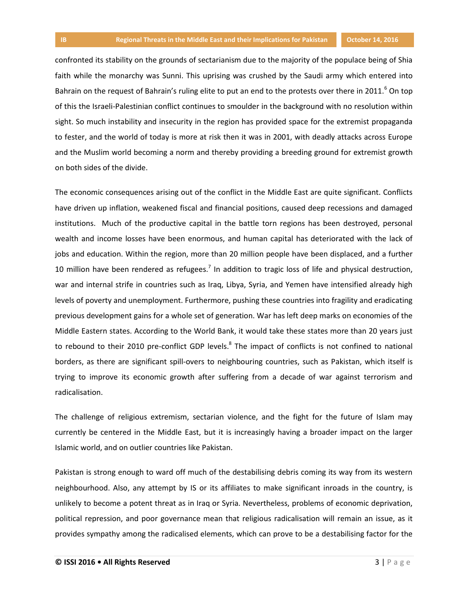confronted its stability on the grounds of sectarianism due to the majority of the populace being of Shia faith while the monarchy was Sunni. This uprising was crushed by the Saudi army which entered into Bahrain on the request of Bahrain's ruling elite to put an end to the protests over there in 2011.<sup>6</sup> On top of this the Israeli-Palestinian conflict continues to smoulder in the background with no resolution within sight. So much instability and insecurity in the region has provided space for the extremist propaganda to fester, and the world of today is more at risk then it was in 2001, with deadly attacks across Europe and the Muslim world becoming a norm and thereby providing a breeding ground for extremist growth on both sides of the divide.

The economic consequences arising out of the conflict in the Middle East are quite significant. Conflicts have driven up inflation, weakened fiscal and financial positions, caused deep recessions and damaged institutions. Much of the productive capital in the battle torn regions has been destroyed, personal wealth and income losses have been enormous, and human capital has deteriorated with the lack of jobs and education. Within the region, more than 20 million people have been displaced, and a further 10 million have been rendered as refugees.<sup>7</sup> In addition to tragic loss of life and physical destruction, war and internal strife in countries such as Iraq, Libya, Syria, and Yemen have intensified already high levels of poverty and unemployment. Furthermore, pushing these countries into fragility and eradicating previous development gains for a whole set of generation. War has left deep marks on economies of the Middle Eastern states. According to the World Bank, it would take these states more than 20 years just to rebound to their 2010 pre-conflict GDP levels.<sup>8</sup> The impact of conflicts is not confined to national borders, as there are significant spill-overs to neighbouring countries, such as Pakistan, which itself is trying to improve its economic growth after suffering from a decade of war against terrorism and radicalisation.

The challenge of religious extremism, sectarian violence, and the fight for the future of Islam may currently be centered in the Middle East, but it is increasingly having a broader impact on the larger Islamic world, and on outlier countries like Pakistan.

Pakistan is strong enough to ward off much of the destabilising debris coming its way from its western neighbourhood. Also, any attempt by IS or its affiliates to make significant inroads in the country, is unlikely to become a potent threat as in Iraq or Syria. Nevertheless, problems of economic deprivation, political repression, and poor governance mean that religious radicalisation will remain an issue, as it provides sympathy among the radicalised elements, which can prove to be a destabilising factor for the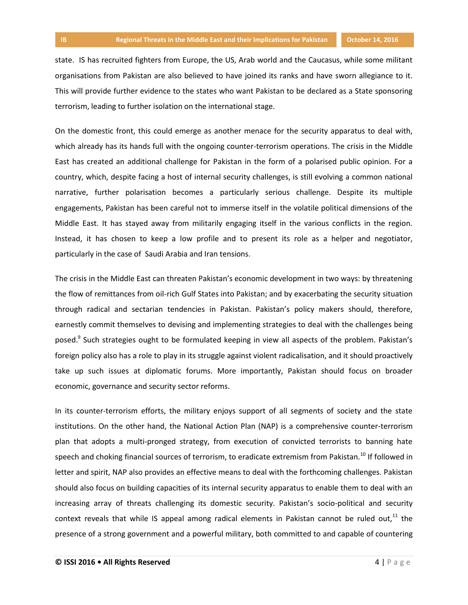state. IS has recruited fighters from Europe, the US, Arab world and the Caucasus, while some militant organisations from Pakistan are also believed to have joined its ranks and have sworn allegiance to it. This will provide further evidence to the states who want Pakistan to be declared as a State sponsoring terrorism, leading to further isolation on the international stage.

On the domestic front, this could emerge as another menace for the security apparatus to deal with, which already has its hands full with the ongoing counter-terrorism operations. The crisis in the Middle East has created an additional challenge for Pakistan in the form of a polarised public opinion. For a country, which, despite facing a host of internal security challenges, is still evolving a common national narrative, further polarisation becomes a particularly serious challenge. Despite its multiple engagements, Pakistan has been careful not to immerse itself in the volatile political dimensions of the Middle East. It has stayed away from militarily engaging itself in the various conflicts in the region. Instead, it has chosen to keep a low profile and to present its role as a helper and negotiator, particularly in the case of Saudi Arabia and Iran tensions.

The crisis in the Middle East can threaten Pakistan's economic development in two ways: by threatening the flow of remittances from oil-rich Gulf States into Pakistan; and by exacerbating the security situation through radical and sectarian tendencies in Pakistan. Pakistan's policy makers should, therefore, earnestly commit themselves to devising and implementing strategies to deal with the challenges being posed.<sup>9</sup> Such strategies ought to be formulated keeping in view all aspects of the problem. Pakistan's foreign policy also has a role to play in its struggle against violent radicalisation, and it should proactively take up such issues at diplomatic forums. More importantly, Pakistan should focus on broader economic, governance and security sector reforms.

In its counter-terrorism efforts, the military enjoys support of all segments of society and the state institutions. On the other hand, the National Action Plan (NAP) is a comprehensive counter-terrorism plan that adopts a multi-pronged strategy, from execution of convicted terrorists to banning hate speech and choking financial sources of terrorism, to eradicate extremism from Pakistan.<sup>10</sup> If followed in letter and spirit, NAP also provides an effective means to deal with the forthcoming challenges. Pakistan should also focus on building capacities of its internal security apparatus to enable them to deal with an increasing array of threats challenging its domestic security. Pakistan's socio-political and security context reveals that while IS appeal among radical elements in Pakistan cannot be ruled out, $^{11}$  the presence of a strong government and a powerful military, both committed to and capable of countering